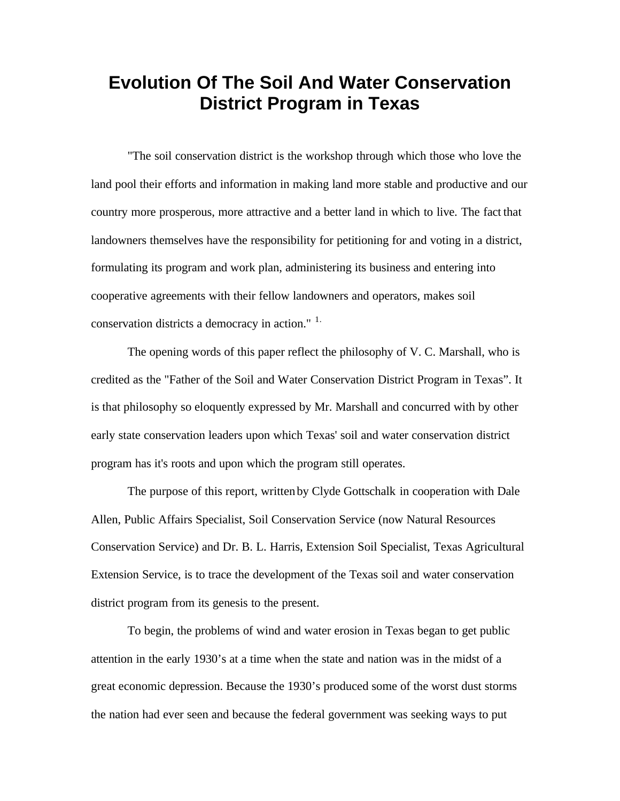## **Evolution Of The Soil And Water Conservation District Program in Texas**

"The soil conservation district is the workshop through which those who love the land pool their efforts and information in making land more stable and productive and our country more prosperous, more attractive and a better land in which to live. The fact that landowners themselves have the responsibility for petitioning for and voting in a district, formulating its program and work plan, administering its business and entering into cooperative agreements with their fellow landowners and operators, makes soil conservation districts a democracy in action." <sup>1.</sup>

The opening words of this paper reflect the philosophy of V. C. Marshall, who is credited as the "Father of the Soil and Water Conservation District Program in Texas". It is that philosophy so eloquently expressed by Mr. Marshall and concurred with by other early state conservation leaders upon which Texas' soil and water conservation district program has it's roots and upon which the program still operates.

The purpose of this report, written by Clyde Gottschalk in cooperation with Dale Allen, Public Affairs Specialist, Soil Conservation Service (now Natural Resources Conservation Service) and Dr. B. L. Harris, Extension Soil Specialist, Texas Agricultural Extension Service, is to trace the development of the Texas soil and water conservation district program from its genesis to the present.

To begin, the problems of wind and water erosion in Texas began to get public attention in the early 1930's at a time when the state and nation was in the midst of a great economic depression. Because the 1930's produced some of the worst dust storms the nation had ever seen and because the federal government was seeking ways to put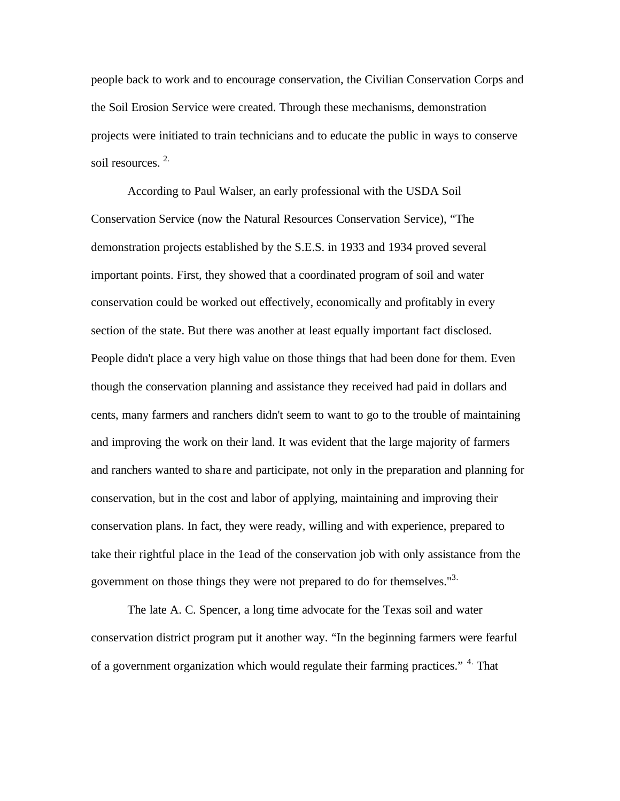people back to work and to encourage conservation, the Civilian Conservation Corps and the Soil Erosion Service were created. Through these mechanisms, demonstration projects were initiated to train technicians and to educate the public in ways to conserve soil resources.<sup>2.</sup>

According to Paul Walser, an early professional with the USDA Soil Conservation Service (now the Natural Resources Conservation Service), "The demonstration projects established by the S.E.S. in 1933 and 1934 proved several important points. First, they showed that a coordinated program of soil and water conservation could be worked out effectively, economically and profitably in every section of the state. But there was another at least equally important fact disclosed. People didn't place a very high value on those things that had been done for them. Even though the conservation planning and assistance they received had paid in dollars and cents, many farmers and ranchers didn't seem to want to go to the trouble of maintaining and improving the work on their land. It was evident that the large majority of farmers and ranchers wanted to sha re and participate, not only in the preparation and planning for conservation, but in the cost and labor of applying, maintaining and improving their conservation plans. In fact, they were ready, willing and with experience, prepared to take their rightful place in the 1ead of the conservation job with only assistance from the government on those things they were not prepared to do for themselves."<sup>3.</sup>

The late A. C. Spencer, a long time advocate for the Texas soil and water conservation district program put it another way. "In the beginning farmers were fearful of a government organization which would regulate their farming practices." <sup>4</sup>. That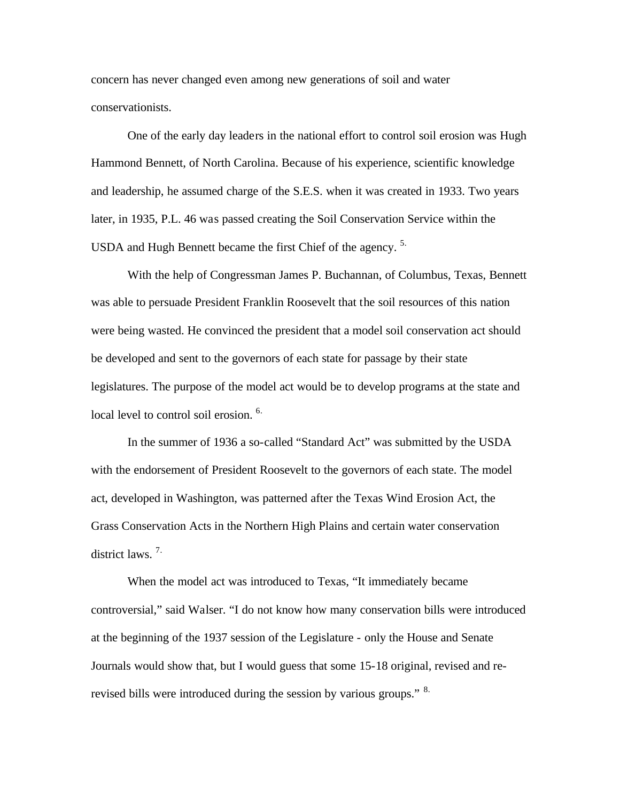concern has never changed even among new generations of soil and water conservationists.

One of the early day leaders in the national effort to control soil erosion was Hugh Hammond Bennett, of North Carolina. Because of his experience, scientific knowledge and leadership, he assumed charge of the S.E.S. when it was created in 1933. Two years later, in 1935, P.L. 46 was passed creating the Soil Conservation Service within the USDA and Hugh Bennett became the first Chief of the agency.<sup>5.</sup>

With the help of Congressman James P. Buchannan, of Columbus, Texas, Bennett was able to persuade President Franklin Roosevelt that the soil resources of this nation were being wasted. He convinced the president that a model soil conservation act should be developed and sent to the governors of each state for passage by their state legislatures. The purpose of the model act would be to develop programs at the state and local level to control soil erosion.<sup>6.</sup>

In the summer of 1936 a so-called "Standard Act" was submitted by the USDA with the endorsement of President Roosevelt to the governors of each state. The model act, developed in Washington, was patterned after the Texas Wind Erosion Act, the Grass Conservation Acts in the Northern High Plains and certain water conservation district laws. 7.

When the model act was introduced to Texas, "It immediately became controversial," said Walser. "I do not know how many conservation bills were introduced at the beginning of the 1937 session of the Legislature - only the House and Senate Journals would show that, but I would guess that some 15-18 original, revised and rerevised bills were introduced during the session by various groups." <sup>8.</sup>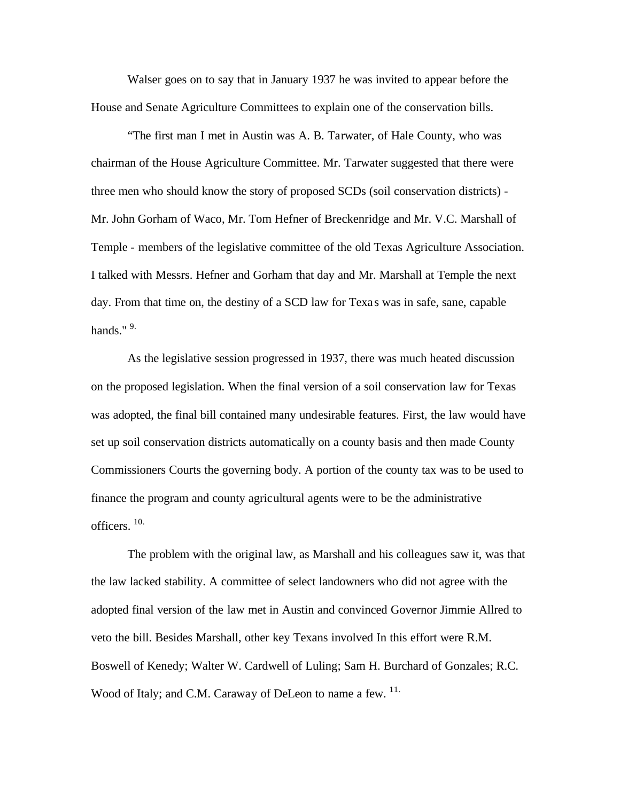Walser goes on to say that in January 1937 he was invited to appear before the House and Senate Agriculture Committees to explain one of the conservation bills.

"The first man I met in Austin was A. B. Tarwater, of Hale County, who was chairman of the House Agriculture Committee. Mr. Tarwater suggested that there were three men who should know the story of proposed SCDs (soil conservation districts) - Mr. John Gorham of Waco, Mr. Tom Hefner of Breckenridge and Mr. V.C. Marshall of Temple - members of the legislative committee of the old Texas Agriculture Association. I talked with Messrs. Hefner and Gorham that day and Mr. Marshall at Temple the next day. From that time on, the destiny of a SCD law for Texas was in safe, sane, capable hands." $9$ .

As the legislative session progressed in 1937, there was much heated discussion on the proposed legislation. When the final version of a soil conservation law for Texas was adopted, the final bill contained many undesirable features. First, the law would have set up soil conservation districts automatically on a county basis and then made County Commissioners Courts the governing body. A portion of the county tax was to be used to finance the program and county agricultural agents were to be the administrative officers. 10.

The problem with the original law, as Marshall and his colleagues saw it, was that the law lacked stability. A committee of select landowners who did not agree with the adopted final version of the law met in Austin and convinced Governor Jimmie Allred to veto the bill. Besides Marshall, other key Texans involved In this effort were R.M. Boswell of Kenedy; Walter W. Cardwell of Luling; Sam H. Burchard of Gonzales; R.C. Wood of Italy; and C.M. Caraway of DeLeon to name a few. <sup>11.</sup>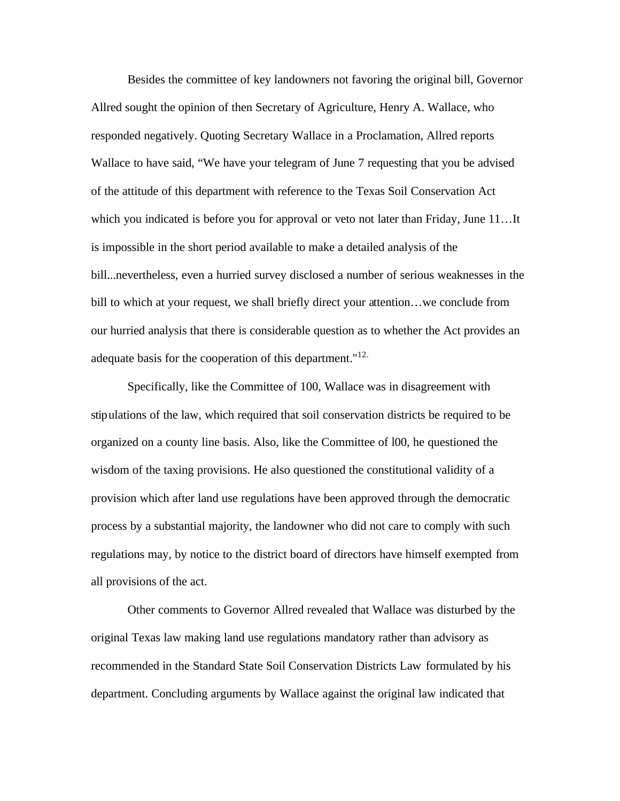Besides the committee of key landowners not favoring the original bill, Governor Allred sought the opinion of then Secretary of Agriculture, Henry A. Wallace, who responded negatively. Quoting Secretary Wallace in a Proclamation, Allred reports Wallace to have said, "We have your telegram of June 7 requesting that you be advised of the attitude of this department with reference to the Texas Soil Conservation Act which you indicated is before you for approval or veto not later than Friday, June 11...It is impossible in the short period available to make a detailed analysis of the bill...nevertheless, even a hurried survey disclosed a number of serious weaknesses in the bill to which at your request, we shall briefly direct your attention…we conclude from our hurried analysis that there is considerable question as to whether the Act provides an adequate basis for the cooperation of this department."<sup>12.</sup>

Specifically, like the Committee of 100, Wallace was in disagreement with stipulations of the law, which required that soil conservation districts be required to be organized on a county line basis. Also, like the Committee of l00, he questioned the wisdom of the taxing provisions. He also questioned the constitutional validity of a provision which after land use regulations have been approved through the democratic process by a substantial majority, the landowner who did not care to comply with such regulations may, by notice to the district board of directors have himself exempted from all provisions of the act.

Other comments to Governor Allred revealed that Wallace was disturbed by the original Texas law making land use regulations mandatory rather than advisory as recommended in the Standard State Soil Conservation Districts Law formulated by his department. Concluding arguments by Wallace against the original law indicated that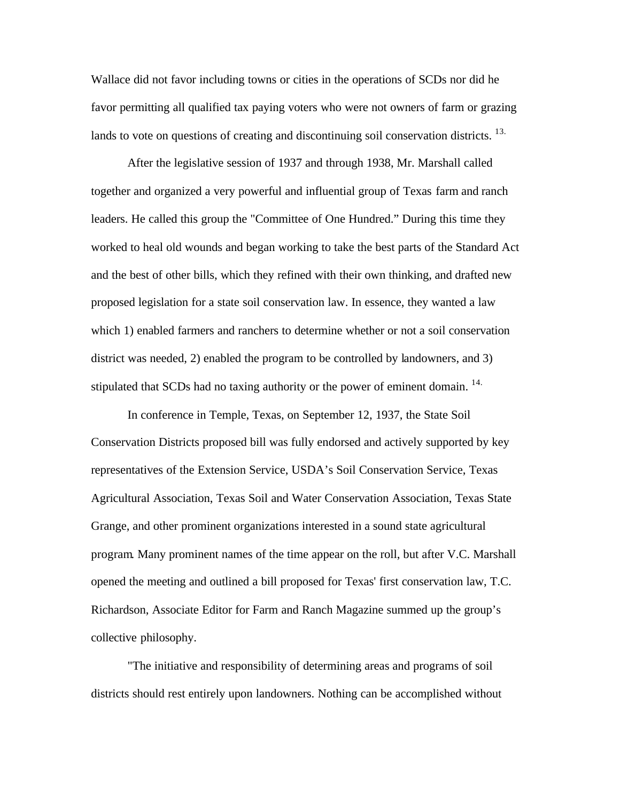Wallace did not favor including towns or cities in the operations of SCDs nor did he favor permitting all qualified tax paying voters who were not owners of farm or grazing lands to vote on questions of creating and discontinuing soil conservation districts. <sup>13.</sup>

After the legislative session of 1937 and through 1938, Mr. Marshall called together and organized a very powerful and influential group of Texas farm and ranch leaders. He called this group the "Committee of One Hundred." During this time they worked to heal old wounds and began working to take the best parts of the Standard Act and the best of other bills, which they refined with their own thinking, and drafted new proposed legislation for a state soil conservation law. In essence, they wanted a law which 1) enabled farmers and ranchers to determine whether or not a soil conservation district was needed, 2) enabled the program to be controlled by landowners, and 3) stipulated that SCDs had no taxing authority or the power of eminent domain.  $14$ .

In conference in Temple, Texas, on September 12, 1937, the State Soil Conservation Districts proposed bill was fully endorsed and actively supported by key representatives of the Extension Service, USDA's Soil Conservation Service, Texas Agricultural Association, Texas Soil and Water Conservation Association, Texas State Grange, and other prominent organizations interested in a sound state agricultural program. Many prominent names of the time appear on the roll, but after V.C. Marshall opened the meeting and outlined a bill proposed for Texas' first conservation law, T.C. Richardson, Associate Editor for Farm and Ranch Magazine summed up the group's collective philosophy.

"The initiative and responsibility of determining areas and programs of soil districts should rest entirely upon landowners. Nothing can be accomplished without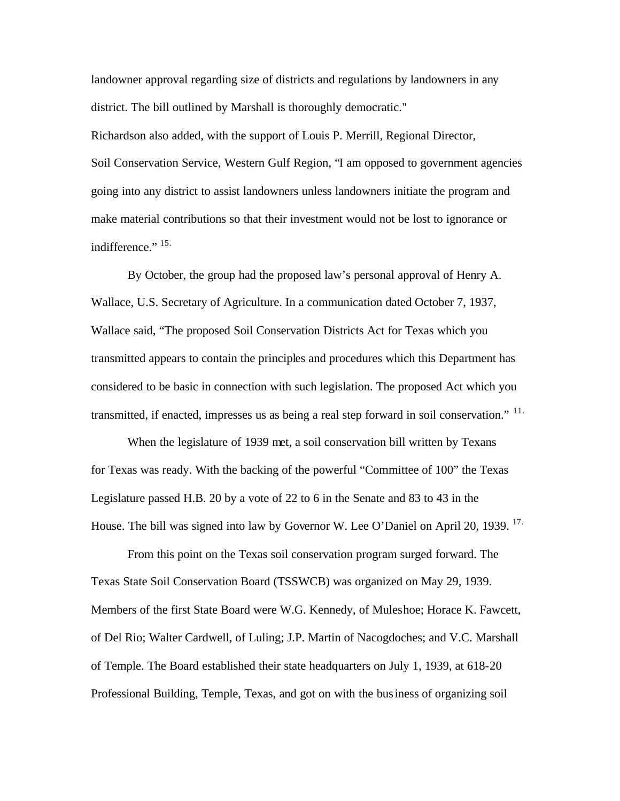landowner approval regarding size of districts and regulations by landowners in any district. The bill outlined by Marshall is thoroughly democratic."

Richardson also added, with the support of Louis P. Merrill, Regional Director, Soil Conservation Service, Western Gulf Region, "I am opposed to government agencies going into any district to assist landowners unless landowners initiate the program and make material contributions so that their investment would not be lost to ignorance or indifference." 15.

By October, the group had the proposed law's personal approval of Henry A. Wallace, U.S. Secretary of Agriculture. In a communication dated October 7, 1937, Wallace said, "The proposed Soil Conservation Districts Act for Texas which you transmitted appears to contain the principles and procedures which this Department has considered to be basic in connection with such legislation. The proposed Act which you transmitted, if enacted, impresses us as being a real step forward in soil conservation." <sup>11.</sup>

When the legislature of 1939 met, a soil conservation bill written by Texans for Texas was ready. With the backing of the powerful "Committee of 100" the Texas Legislature passed H.B. 20 by a vote of 22 to 6 in the Senate and 83 to 43 in the House. The bill was signed into law by Governor W. Lee O'Daniel on April 20, 1939. <sup>17.</sup>

From this point on the Texas soil conservation program surged forward. The Texas State Soil Conservation Board (TSSWCB) was organized on May 29, 1939. Members of the first State Board were W.G. Kennedy, of Muleshoe; Horace K. Fawcett, of Del Rio; Walter Cardwell, of Luling; J.P. Martin of Nacogdoches; and V.C. Marshall of Temple. The Board established their state headquarters on July 1, 1939, at 618-20 Professional Building, Temple, Texas, and got on with the business of organizing soil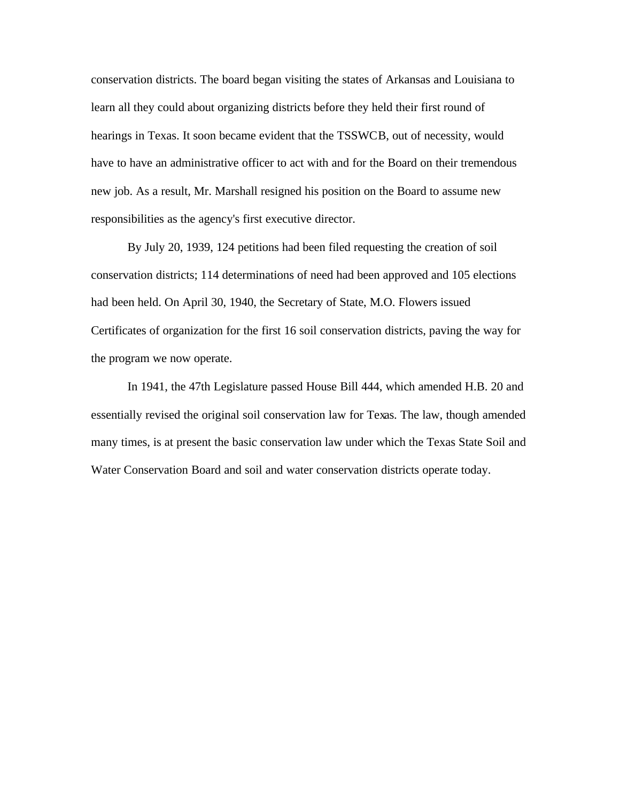conservation districts. The board began visiting the states of Arkansas and Louisiana to learn all they could about organizing districts before they held their first round of hearings in Texas. It soon became evident that the TSSWCB, out of necessity, would have to have an administrative officer to act with and for the Board on their tremendous new job. As a result, Mr. Marshall resigned his position on the Board to assume new responsibilities as the agency's first executive director.

By July 20, 1939, 124 petitions had been filed requesting the creation of soil conservation districts; 114 determinations of need had been approved and 105 elections had been held. On April 30, 1940, the Secretary of State, M.O. Flowers issued Certificates of organization for the first 16 soil conservation districts, paving the way for the program we now operate.

In 1941, the 47th Legislature passed House Bill 444, which amended H.B. 20 and essentially revised the original soil conservation law for Texas. The law, though amended many times, is at present the basic conservation law under which the Texas State Soil and Water Conservation Board and soil and water conservation districts operate today.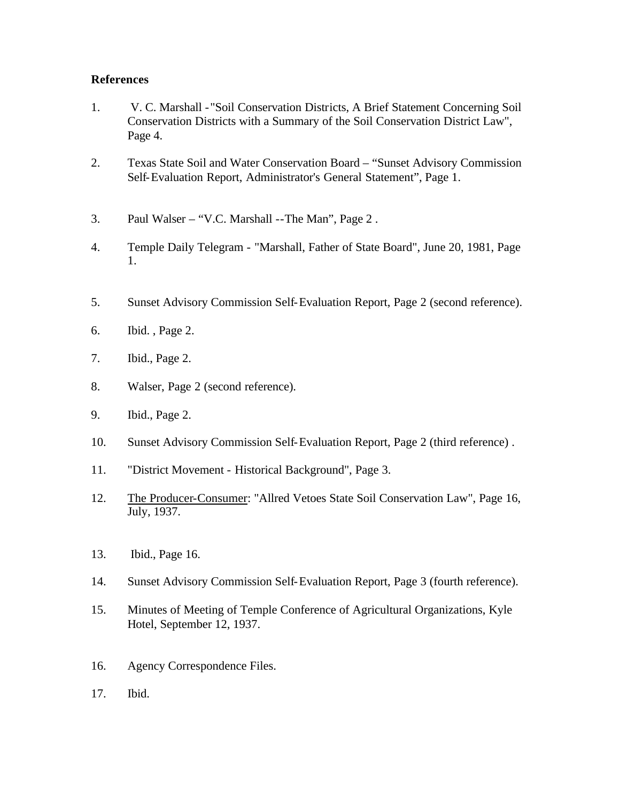## **References**

- 1. V. C. Marshall "Soil Conservation Districts, A Brief Statement Concerning Soil Conservation Districts with a Summary of the Soil Conservation District Law", Page 4.
- 2. Texas State Soil and Water Conservation Board "Sunset Advisory Commission Self-Evaluation Report, Administrator's General Statement", Page 1.
- 3. Paul Walser "V.C. Marshall --The Man", Page 2 .
- 4. Temple Daily Telegram "Marshall, Father of State Board", June 20, 1981, Page 1.
- 5. Sunset Advisory Commission Self-Evaluation Report, Page 2 (second reference).
- 6. Ibid. , Page 2.
- 7. Ibid., Page 2.
- 8. Walser, Page 2 (second reference).
- 9. Ibid., Page 2.
- 10. Sunset Advisory Commission Self-Evaluation Report, Page 2 (third reference) .
- 11. "District Movement Historical Background", Page 3.
- 12. The Producer-Consumer: "Allred Vetoes State Soil Conservation Law", Page 16, July, 1937.
- 13. Ibid., Page 16.
- 14. Sunset Advisory Commission Self-Evaluation Report, Page 3 (fourth reference).
- 15. Minutes of Meeting of Temple Conference of Agricultural Organizations, Kyle Hotel, September 12, 1937.
- 16. Agency Correspondence Files.
- 17. Ibid.